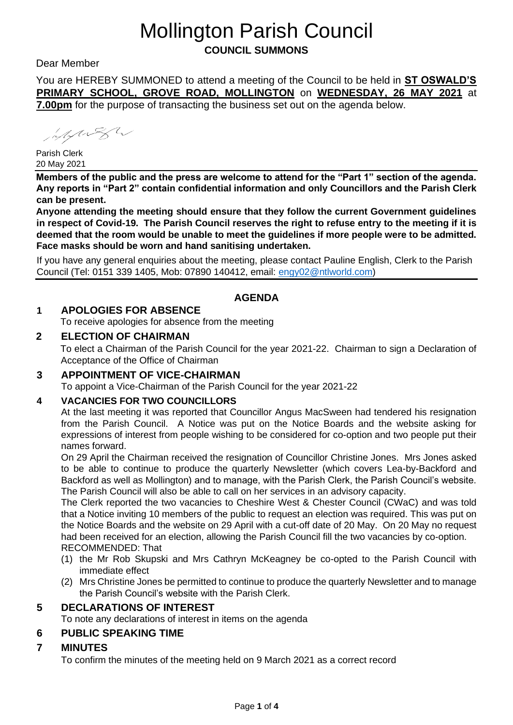# Mollington Parish Council

**COUNCIL SUMMONS** 

Dear Member

You are HEREBY SUMMONED to attend a meeting of the Council to be held in **ST OSWALD'S PRIMARY SCHOOL, GROVE ROAD, MOLLINGTON** on **WEDNESDAY, 26 MAY 2021** at **7.00pm** for the purpose of transacting the business set out on the agenda below.

integral by

Parish Clerk 20 May 2021

**Members of the public and the press are welcome to attend for the "Part 1" section of the agenda. Any reports in "Part 2" contain confidential information and only Councillors and the Parish Clerk can be present.** 

**Anyone attending the meeting should ensure that they follow the current Government guidelines in respect of Covid-19. The Parish Council reserves the right to refuse entry to the meeting if it is deemed that the room would be unable to meet the guidelines if more people were to be admitted. Face masks should be worn and hand sanitising undertaken.** 

If you have any general enquiries about the meeting, please contact Pauline English, Clerk to the Parish Council (Tel: 0151 339 1405, Mob: 07890 140412, email: [engy02@ntlworld.com\)](mailto:engy02@ntlworld.com)

# **AGENDA**

# **1 APOLOGIES FOR ABSENCE**

To receive apologies for absence from the meeting

## **2 ELECTION OF CHAIRMAN**

To elect a Chairman of the Parish Council for the year 2021-22. Chairman to sign a Declaration of Acceptance of the Office of Chairman

## **3 APPOINTMENT OF VICE-CHAIRMAN**

To appoint a Vice-Chairman of the Parish Council for the year 2021-22

## **4 VACANCIES FOR TWO COUNCILLORS**

At the last meeting it was reported that Councillor Angus MacSween had tendered his resignation from the Parish Council. A Notice was put on the Notice Boards and the website asking for expressions of interest from people wishing to be considered for co-option and two people put their names forward.

On 29 April the Chairman received the resignation of Councillor Christine Jones. Mrs Jones asked to be able to continue to produce the quarterly Newsletter (which covers Lea-by-Backford and Backford as well as Mollington) and to manage, with the Parish Clerk, the Parish Council's website. The Parish Council will also be able to call on her services in an advisory capacity.

The Clerk reported the two vacancies to Cheshire West & Chester Council (CWaC) and was told that a Notice inviting 10 members of the public to request an election was required. This was put on the Notice Boards and the website on 29 April with a cut-off date of 20 May. On 20 May no request had been received for an election, allowing the Parish Council fill the two vacancies by co-option. RECOMMENDED: That

- (1) the Mr Rob Skupski and Mrs Cathryn McKeagney be co-opted to the Parish Council with immediate effect
- (2) Mrs Christine Jones be permitted to continue to produce the quarterly Newsletter and to manage the Parish Council's website with the Parish Clerk.

# **5 DECLARATIONS OF INTEREST**

To note any declarations of interest in items on the agenda

# **6 PUBLIC SPEAKING TIME**

# **7 MINUTES**

To confirm the minutes of the meeting held on 9 March 2021 as a correct record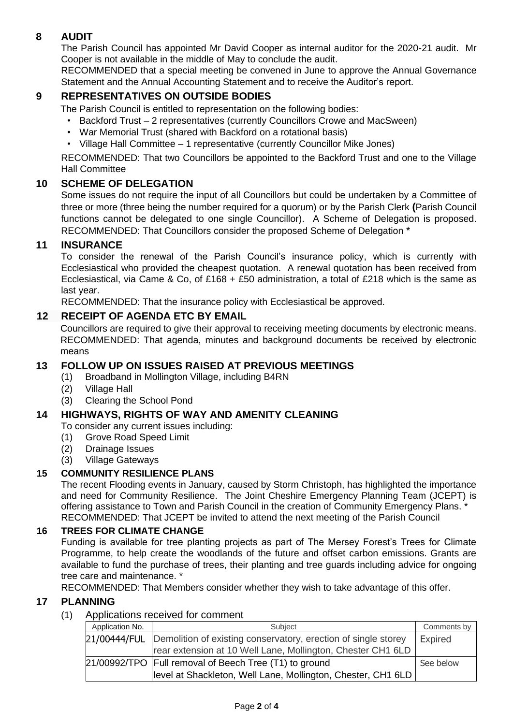## **8 AUDIT**

The Parish Council has appointed Mr David Cooper as internal auditor for the 2020-21 audit. Mr Cooper is not available in the middle of May to conclude the audit.

RECOMMENDED that a special meeting be convened in June to approve the Annual Governance Statement and the Annual Accounting Statement and to receive the Auditor's report.

## **9 REPRESENTATIVES ON OUTSIDE BODIES**

The Parish Council is entitled to representation on the following bodies:

- Backford Trust 2 representatives (currently Councillors Crowe and MacSween)
- War Memorial Trust (shared with Backford on a rotational basis)
- Village Hall Committee 1 representative (currently Councillor Mike Jones)

RECOMMENDED: That two Councillors be appointed to the Backford Trust and one to the Village Hall Committee

## **10 SCHEME OF DELEGATION**

Some issues do not require the input of all Councillors but could be undertaken by a Committee of three or more (three being the number required for a quorum) or by the Parish Clerk **(**Parish Council functions cannot be delegated to one single Councillor). A Scheme of Delegation is proposed. RECOMMENDED: That Councillors consider the proposed Scheme of Delegation \*

## **11 INSURANCE**

To consider the renewal of the Parish Council's insurance policy, which is currently with Ecclesiastical who provided the cheapest quotation. A renewal quotation has been received from Ecclesiastical, via Came & Co, of £168 + £50 administration, a total of £218 which is the same as last year.

RECOMMENDED: That the insurance policy with Ecclesiastical be approved.

## **12 RECEIPT OF AGENDA ETC BY EMAIL**

Councillors are required to give their approval to receiving meeting documents by electronic means. RECOMMENDED: That agenda, minutes and background documents be received by electronic means

## **13 FOLLOW UP ON ISSUES RAISED AT PREVIOUS MEETINGS**

- (1) Broadband in Mollington Village, including B4RN
- (2) Village Hall
- (3) Clearing the School Pond

## **14 HIGHWAYS, RIGHTS OF WAY AND AMENITY CLEANING**

To consider any current issues including:

- (1) Grove Road Speed Limit
- (2) Drainage Issues
- (3) Village Gateways

#### **15 COMMUNITY RESILIENCE PLANS**

The recent Flooding events in January, caused by Storm Christoph, has highlighted the importance and need for Community Resilience. The Joint Cheshire Emergency Planning Team (JCEPT) is offering assistance to Town and Parish Council in the creation of Community Emergency Plans. \* RECOMMENDED: That JCEPT be invited to attend the next meeting of the Parish Council

#### **16 TREES FOR CLIMATE CHANGE**

Funding is available for tree planting projects as part of The Mersey Forest's Trees for Climate Programme, to help create the woodlands of the future and offset carbon emissions. Grants are available to fund the purchase of trees, their planting and tree guards including advice for ongoing tree care and maintenance. \*

RECOMMENDED: That Members consider whether they wish to take advantage of this offer.

#### **17 PLANNING**

#### (1) Applications received for comment

| Application No. | Subject                                                                     | Comments by    |
|-----------------|-----------------------------------------------------------------------------|----------------|
|                 | 21/00444/FUL Demolition of existing conservatory, erection of single storey | <b>Expired</b> |
|                 | rear extension at 10 Well Lane, Mollington, Chester CH1 6LD                 |                |
|                 | 21/00992/TPO   Full removal of Beech Tree (T1) to ground                    | See below      |
|                 | level at Shackleton, Well Lane, Mollington, Chester, CH1 6LD                |                |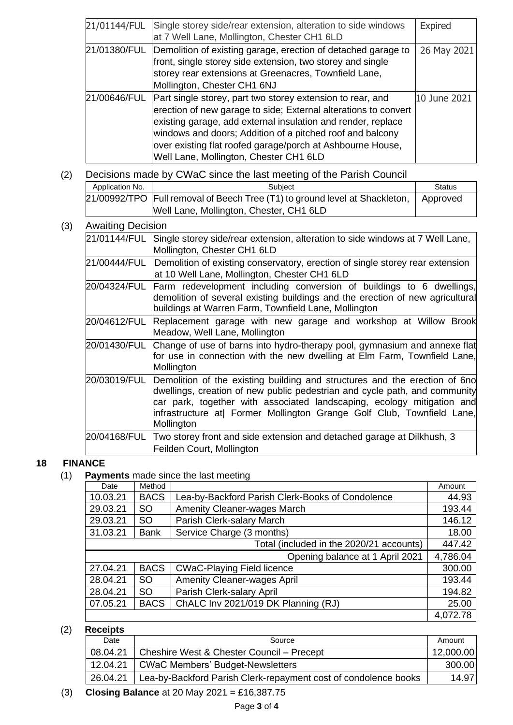| 21/01144/FUL | Single storey side/rear extension, alteration to side windows<br>at 7 Well Lane, Mollington, Chester CH1 6LD                                                                                                                                                                                                                                                                    | <b>Expired</b> |
|--------------|---------------------------------------------------------------------------------------------------------------------------------------------------------------------------------------------------------------------------------------------------------------------------------------------------------------------------------------------------------------------------------|----------------|
|              | 21/01380/FUL Demolition of existing garage, erection of detached garage to<br>front, single storey side extension, two storey and single<br>storey rear extensions at Greenacres, Townfield Lane,<br>Mollington, Chester CH1 6NJ                                                                                                                                                | 26 May 2021    |
|              | 21/00646/FUL Part single storey, part two storey extension to rear, and<br>erection of new garage to side; External alterations to convert<br>existing garage, add external insulation and render, replace<br>windows and doors; Addition of a pitched roof and balcony<br>over existing flat roofed garage/porch at Ashbourne House,<br>Well Lane, Mollington, Chester CH1 6LD | 10 June 2021   |

#### (2) Decisions made by CWaC since the last meeting of the Parish Council

| Application No. | Subject                                                                                | Status |
|-----------------|----------------------------------------------------------------------------------------|--------|
|                 | 21/00992/TPO Full removal of Beech Tree (T1) to ground level at Shackleton,   Approved |        |
|                 | Well Lane, Mollington, Chester, CH1 6LD                                                |        |

#### (3) Awaiting Decision

| 21/01144/FUL | Single storey side/rear extension, alteration to side windows at 7 Well Lane,<br>Mollington, Chester CH1 6LD                                                                                                                                                                                                                            |  |  |
|--------------|-----------------------------------------------------------------------------------------------------------------------------------------------------------------------------------------------------------------------------------------------------------------------------------------------------------------------------------------|--|--|
| 21/00444/FUL | Demolition of existing conservatory, erection of single storey rear extension<br>at 10 Well Lane, Mollington, Chester CH1 6LD                                                                                                                                                                                                           |  |  |
| 20/04324/FUL | Farm redevelopment including conversion of buildings to 6 dwellings,<br>demolition of several existing buildings and the erection of new agricultural<br>buildings at Warren Farm, Townfield Lane, Mollington                                                                                                                           |  |  |
| 20/04612/FUL | Replacement garage with new garage and workshop at Willow Brook<br>Meadow, Well Lane, Mollington                                                                                                                                                                                                                                        |  |  |
| 20/01430/FUL | Change of use of barns into hydro-therapy pool, gymnasium and annexe flat<br>for use in connection with the new dwelling at Elm Farm, Townfield Lane,<br>Mollington                                                                                                                                                                     |  |  |
|              | 20/03019/FUL Demolition of the existing building and structures and the erection of 6no<br>dwellings, creation of new public pedestrian and cycle path, and community<br>car park, together with associated landscaping, ecology mitigation and<br>infrastructure at  Former Mollington Grange Golf Club, Townfield Lane,<br>Mollington |  |  |
| 20/04168/FUL | Two storey front and side extension and detached garage at Dilkhush, 3<br>Feilden Court, Mollington                                                                                                                                                                                                                                     |  |  |

#### **18 FINANCE**

(1) **Payments** made since the last meeting

| Date     | Method      |                                                  | Amount   |
|----------|-------------|--------------------------------------------------|----------|
| 10.03.21 | <b>BACS</b> | Lea-by-Backford Parish Clerk-Books of Condolence | 44.93    |
| 29.03.21 | <b>SO</b>   | <b>Amenity Cleaner-wages March</b>               | 193.44   |
| 29.03.21 | <b>SO</b>   | Parish Clerk-salary March                        | 146.12   |
| 31.03.21 | <b>Bank</b> | Service Charge (3 months)                        | 18.00    |
|          |             | Total (included in the 2020/21 accounts)         | 447.42   |
|          |             | Opening balance at 1 April 2021                  | 4,786.04 |
| 27.04.21 | <b>BACS</b> | <b>CWaC-Playing Field licence</b>                | 300.00   |
| 28.04.21 | SO          | <b>Amenity Cleaner-wages April</b>               | 193.44   |
| 28.04.21 | <b>SO</b>   | Parish Clerk-salary April                        | 194.82   |
| 07.05.21 | <b>BACS</b> | ChALC Inv 2021/019 DK Planning (RJ)              | 25.00    |
|          |             |                                                  | 4,072.78 |

## (2) **Receipts**

| Source                                                          | Amount    |  |  |  |
|-----------------------------------------------------------------|-----------|--|--|--|
| Cheshire West & Chester Council - Precept                       | 12,000.00 |  |  |  |
| <b>CWaC Members' Budget-Newsletters</b>                         | 300.00    |  |  |  |
| Lea-by-Backford Parish Clerk-repayment cost of condolence books | 14.97     |  |  |  |
|                                                                 |           |  |  |  |

(3) **Closing Balance** at 20 May 2021 = £16,387.75